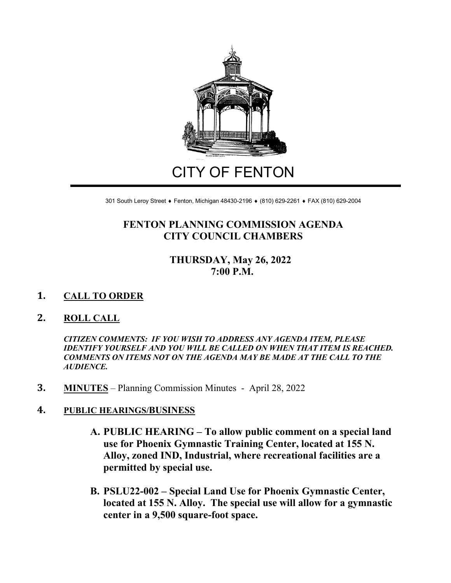

# CITY OF FENTON

301 South Leroy Street ♦ Fenton, Michigan 48430-2196 ♦ (810) 629-2261 ♦ FAX (810) 629-2004

## **FENTON PLANNING COMMISSION AGENDA CITY COUNCIL CHAMBERS**

## **THURSDAY, May 26, 2022 7:00 P.M.**

#### **1. CALL TO ORDER**

#### **2. ROLL CALL**

*CITIZEN COMMENTS: IF YOU WISH TO ADDRESS ANY AGENDA ITEM, PLEASE IDENTIFY YOURSELF AND YOU WILL BE CALLED ON WHEN THAT ITEM IS REACHED. COMMENTS ON ITEMS NOT ON THE AGENDA MAY BE MADE AT THE CALL TO THE AUDIENCE.*

**3. MINUTES** – Planning Commission Minutes - April 28, 2022

#### **4. PUBLIC HEARINGS/BUSINESS**

- **A. PUBLIC HEARING – To allow public comment on a special land use for Phoenix Gymnastic Training Center, located at 155 N. Alloy, zoned IND, Industrial, where recreational facilities are a permitted by special use.**
- **B. PSLU22-002 – Special Land Use for Phoenix Gymnastic Center, located at 155 N. Alloy. The special use will allow for a gymnastic center in a 9,500 square-foot space.**